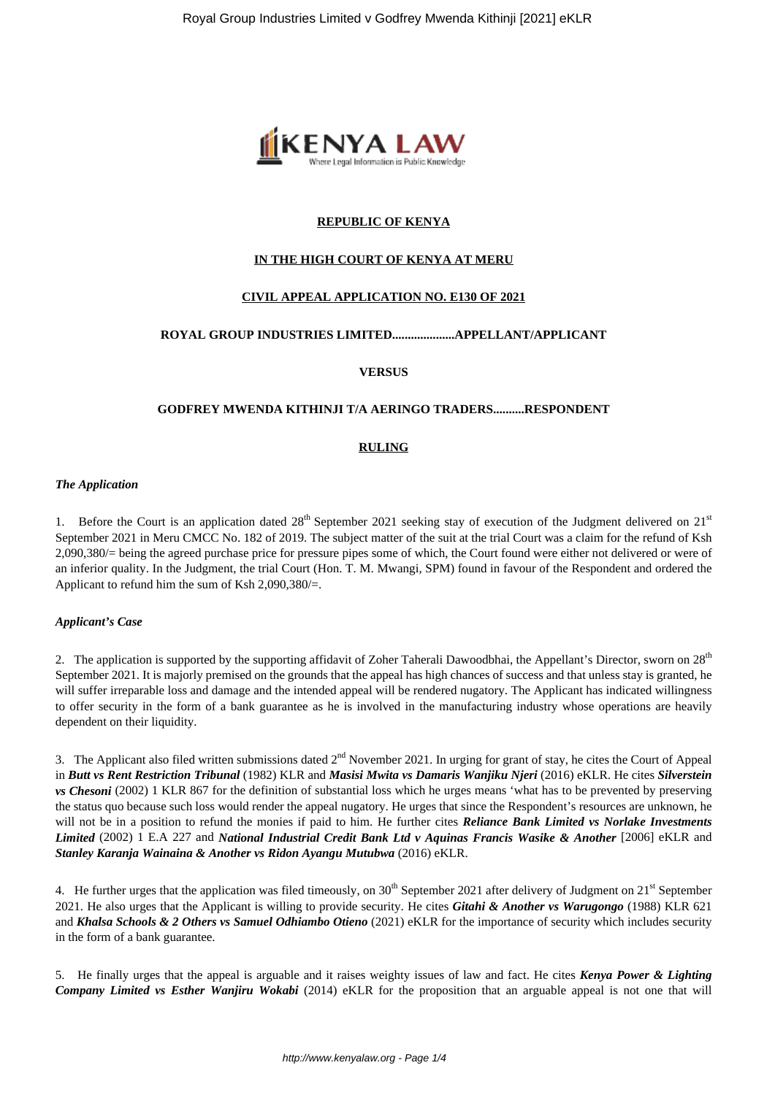

# **REPUBLIC OF KENYA**

# **IN THE HIGH COURT OF KENYA AT MERU**

# **CIVIL APPEAL APPLICATION NO. E130 OF 2021**

# **ROYAL GROUP INDUSTRIES LIMITED....................APPELLANT/APPLICANT**

**VERSUS**

## **GODFREY MWENDA KITHINJI T/A AERINGO TRADERS..........RESPONDENT**

#### **RULING**

#### *The Application*

1. Before the Court is an application dated  $28<sup>th</sup>$  September 2021 seeking stay of execution of the Judgment delivered on  $21<sup>st</sup>$ September 2021 in Meru CMCC No. 182 of 2019. The subject matter of the suit at the trial Court was a claim for the refund of Ksh 2,090,380/= being the agreed purchase price for pressure pipes some of which, the Court found were either not delivered or were of an inferior quality. In the Judgment, the trial Court (Hon. T. M. Mwangi, SPM) found in favour of the Respondent and ordered the Applicant to refund him the sum of Ksh 2,090,380/=.

## *Applicant's Case*

2. The application is supported by the supporting affidavit of Zoher Taherali Dawoodbhai, the Appellant's Director, sworn on 28<sup>th</sup> September 2021. It is majorly premised on the grounds that the appeal has high chances of success and that unless stay is granted, he will suffer irreparable loss and damage and the intended appeal will be rendered nugatory. The Applicant has indicated willingness to offer security in the form of a bank guarantee as he is involved in the manufacturing industry whose operations are heavily dependent on their liquidity.

3. The Applicant also filed written submissions dated 2<sup>nd</sup> November 2021. In urging for grant of stay, he cites the Court of Appeal in *Butt vs Rent Restriction Tribunal* (1982) KLR and *Masisi Mwita vs Damaris Wanjiku Njeri* (2016) eKLR. He cites *Silverstein vs Chesoni* (2002) 1 KLR 867 for the definition of substantial loss which he urges means 'what has to be prevented by preserving the status quo because such loss would render the appeal nugatory. He urges that since the Respondent's resources are unknown, he will not be in a position to refund the monies if paid to him. He further cites *Reliance Bank Limited vs Norlake Investments Limited* (2002) 1 E.A 227 and *National Industrial Credit Bank Ltd v Aquinas Francis Wasike & Another* [2006] eKLR and *Stanley Karanja Wainaina & Another vs Ridon Ayangu Mutubwa* (2016) eKLR.

4. He further urges that the application was filed timeously, on  $30<sup>th</sup>$  September 2021 after delivery of Judgment on  $21<sup>st</sup>$  September 2021. He also urges that the Applicant is willing to provide security. He cites *Gitahi & Another vs Warugongo* (1988) KLR 621 and *Khalsa Schools & 2 Others vs Samuel Odhiambo Otieno* (2021) eKLR for the importance of security which includes security in the form of a bank guarantee.

5. He finally urges that the appeal is arguable and it raises weighty issues of law and fact. He cites *Kenya Power & Lighting Company Limited vs Esther Wanjiru Wokabi* (2014) eKLR for the proposition that an arguable appeal is not one that will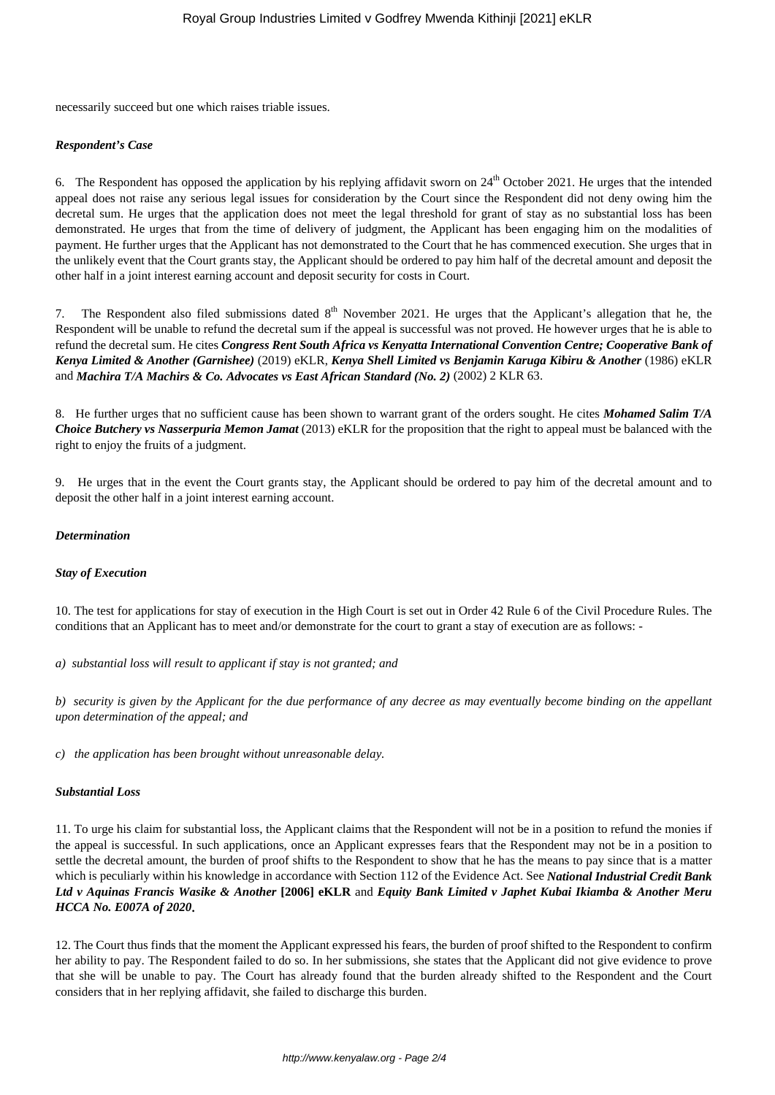necessarily succeed but one which raises triable issues.

## *Respondent's Case*

6. The Respondent has opposed the application by his replying affidavit sworn on  $24<sup>th</sup>$  October 2021. He urges that the intended appeal does not raise any serious legal issues for consideration by the Court since the Respondent did not deny owing him the decretal sum. He urges that the application does not meet the legal threshold for grant of stay as no substantial loss has been demonstrated. He urges that from the time of delivery of judgment, the Applicant has been engaging him on the modalities of payment. He further urges that the Applicant has not demonstrated to the Court that he has commenced execution. She urges that in the unlikely event that the Court grants stay, the Applicant should be ordered to pay him half of the decretal amount and deposit the other half in a joint interest earning account and deposit security for costs in Court.

7. The Respondent also filed submissions dated  $8<sup>th</sup>$  November 2021. He urges that the Applicant's allegation that he, the Respondent will be unable to refund the decretal sum if the appeal is successful was not proved. He however urges that he is able to refund the decretal sum. He cites *Congress Rent South Africa vs Kenyatta International Convention Centre; Cooperative Bank of Kenya Limited & Another (Garnishee)* (2019) eKLR, *Kenya Shell Limited vs Benjamin Karuga Kibiru & Another* (1986) eKLR and *Machira T/A Machirs & Co. Advocates vs East African Standard (No. 2)* (2002) 2 KLR 63.

8. He further urges that no sufficient cause has been shown to warrant grant of the orders sought. He cites *Mohamed Salim T/A Choice Butchery vs Nasserpuria Memon Jamat* (2013) eKLR for the proposition that the right to appeal must be balanced with the right to enjoy the fruits of a judgment.

9. He urges that in the event the Court grants stay, the Applicant should be ordered to pay him of the decretal amount and to deposit the other half in a joint interest earning account.

## *Determination*

## *Stay of Execution*

10. The test for applications for stay of execution in the High Court is set out in Order 42 Rule 6 of the Civil Procedure Rules. The conditions that an Applicant has to meet and/or demonstrate for the court to grant a stay of execution are as follows: -

*a) substantial loss will result to applicant if stay is not granted; and* 

*b) security is given by the Applicant for the due performance of any decree as may eventually become binding on the appellant upon determination of the appeal; and*

*c) the application has been brought without unreasonable delay.* 

## *Substantial Loss*

11. To urge his claim for substantial loss, the Applicant claims that the Respondent will not be in a position to refund the monies if the appeal is successful. In such applications, once an Applicant expresses fears that the Respondent may not be in a position to settle the decretal amount, the burden of proof shifts to the Respondent to show that he has the means to pay since that is a matter which is peculiarly within his knowledge in accordance with Section 112 of the Evidence Act. See *National Industrial Credit Bank Ltd v Aquinas Francis Wasike & Another* **[2006] eKLR** and *Equity Bank Limited v Japhet Kubai Ikiamba & Another Meru HCCA No. E007A of 2020***.** 

12. The Court thus finds that the moment the Applicant expressed his fears, the burden of proof shifted to the Respondent to confirm her ability to pay. The Respondent failed to do so. In her submissions, she states that the Applicant did not give evidence to prove that she will be unable to pay. The Court has already found that the burden already shifted to the Respondent and the Court considers that in her replying affidavit, she failed to discharge this burden.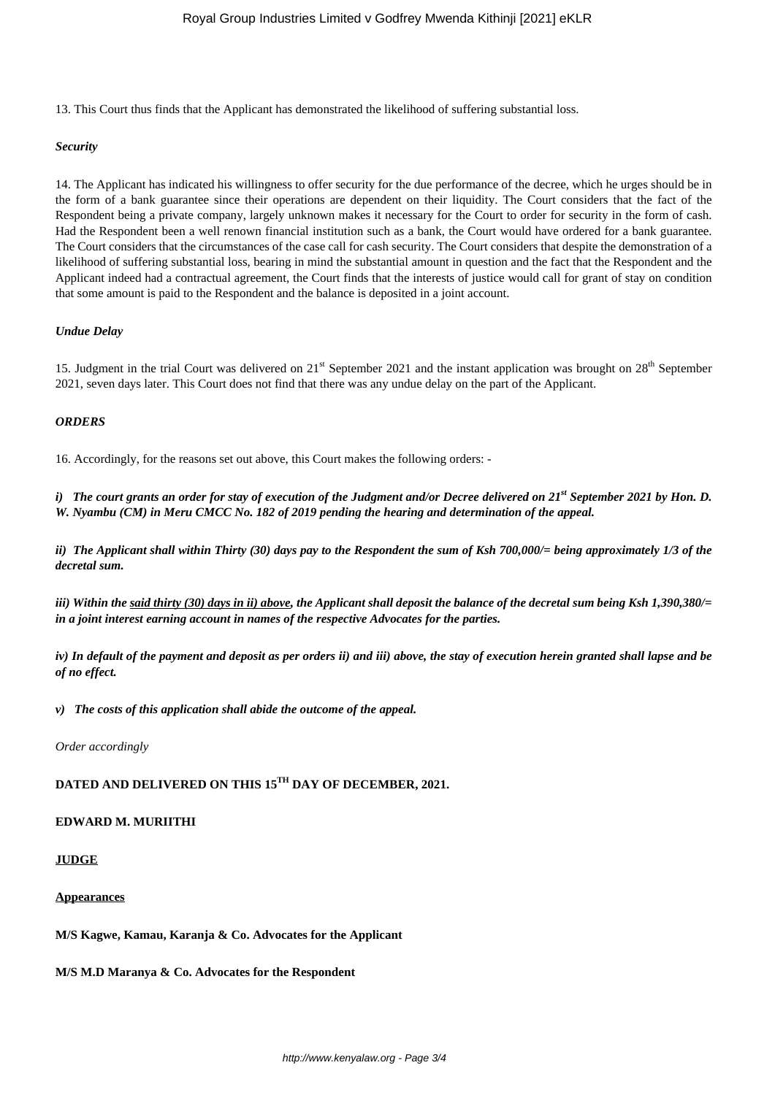13. This Court thus finds that the Applicant has demonstrated the likelihood of suffering substantial loss.

#### *Security*

14. The Applicant has indicated his willingness to offer security for the due performance of the decree, which he urges should be in the form of a bank guarantee since their operations are dependent on their liquidity. The Court considers that the fact of the Respondent being a private company, largely unknown makes it necessary for the Court to order for security in the form of cash. Had the Respondent been a well renown financial institution such as a bank, the Court would have ordered for a bank guarantee. The Court considers that the circumstances of the case call for cash security. The Court considers that despite the demonstration of a likelihood of suffering substantial loss, bearing in mind the substantial amount in question and the fact that the Respondent and the Applicant indeed had a contractual agreement, the Court finds that the interests of justice would call for grant of stay on condition that some amount is paid to the Respondent and the balance is deposited in a joint account.

#### *Undue Delay*

15. Judgment in the trial Court was delivered on  $21<sup>st</sup>$  September 2021 and the instant application was brought on  $28<sup>th</sup>$  September 2021, seven days later. This Court does not find that there was any undue delay on the part of the Applicant.

#### *ORDERS*

16. Accordingly, for the reasons set out above, this Court makes the following orders: -

*i) The court grants an order for stay of execution of the Judgment and/or Decree delivered on 21st September 2021 by Hon. D. W. Nyambu (CM) in Meru CMCC No. 182 of 2019 pending the hearing and determination of the appeal.*

*ii) The Applicant shall within Thirty (30) days pay to the Respondent the sum of Ksh 700,000/= being approximately 1/3 of the decretal sum.*

*iii) Within the said thirty (30) days in ii) above, the Applicant shall deposit the balance of the decretal sum being Ksh 1,390,380/= in a joint interest earning account in names of the respective Advocates for the parties.*

*iv) In default of the payment and deposit as per orders ii) and iii) above, the stay of execution herein granted shall lapse and be of no effect.*

*v) The costs of this application shall abide the outcome of the appeal.*

*Order accordingly*

# **DATED AND DELIVERED ON THIS 15TH DAY OF DECEMBER, 2021.**

### **EDWARD M. MURIITHI**

# **JUDGE**

#### **Appearances**

**M/S Kagwe, Kamau, Karanja & Co. Advocates for the Applicant**

**M/S M.D Maranya & Co. Advocates for the Respondent**